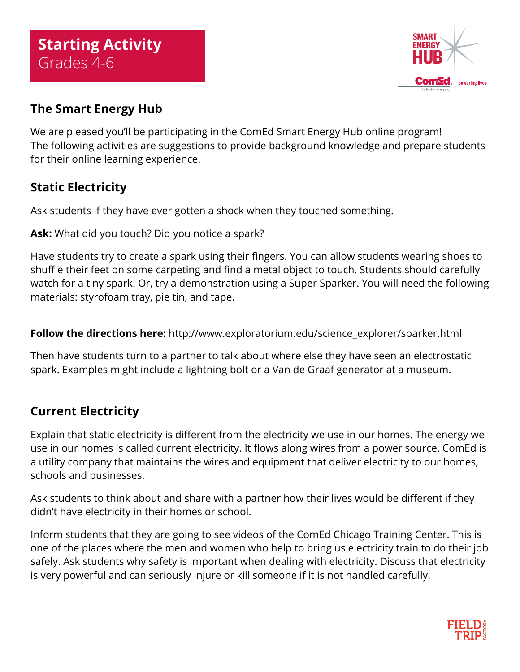

## **The Smart Energy Hub**

We are pleased you'll be participating in the ComEd Smart Energy Hub online program! The following activities are suggestions to provide background knowledge and prepare students for their online learning experience.

## **Static Electricity**

Ask students if they have ever gotten a shock when they touched something.

**Ask:** What did you touch? Did you notice a spark?

Have students try to create a spark using their fingers. You can allow students wearing shoes to shuffle their feet on some carpeting and find a metal object to touch. Students should carefully watch for a tiny spark. Or, try a demonstration using a Super Sparker. You will need the following materials: styrofoam tray, pie tin, and tape.

**Follow the directions here:** [http://www.exploratorium.edu/science\\_explorer/sparker.html](http://www.exploratorium.edu/science_explorer/sparker.html)

Then have students turn to a partner to talk about where else they have seen an electrostatic spark. Examples might include a lightning bolt or a Van de Graaf generator at a museum.

## **Current Electricity**

Explain that static electricity is different from the electricity we use in our homes. The energy we use in our homes is called current electricity. It flows along wires from a power source. ComEd is a utility company that maintains the wires and equipment that deliver electricity to our homes, schools and businesses.

Ask students to think about and share with a partner how their lives would be different if they didn't have electricity in their homes or school.

Inform students that they are going to see videos of the ComEd Chicago Training Center. This is one of the places where the men and women who help to bring us electricity train to do their job safely. Ask students why safety is important when dealing with electricity. Discuss that electricity is very powerful and can seriously injure or kill someone if it is not handled carefully.

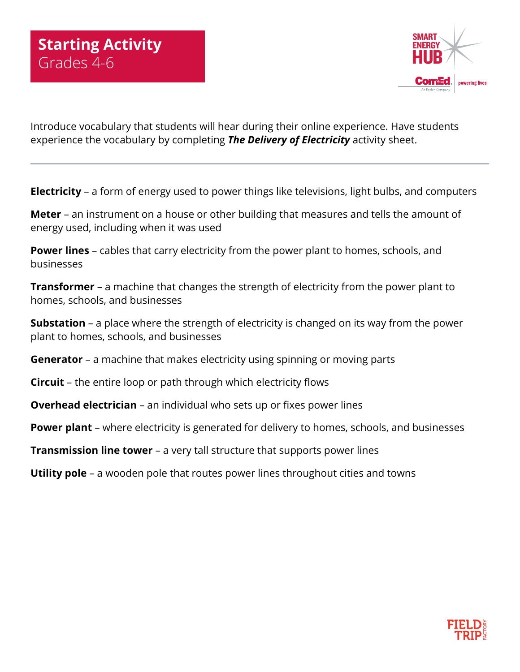

Introduce vocabulary that students will hear during their online experience. Have students experience the vocabulary by completing *The Delivery of Electricity* activity sheet.

**Electricity** – a form of energy used to power things like televisions, light bulbs, and computers

**Meter** – an instrument on a house or other building that measures and tells the amount of energy used, including when it was used

**Power lines** – cables that carry electricity from the power plant to homes, schools, and businesses

**Transformer** – a machine that changes the strength of electricity from the power plant to homes, schools, and businesses

**Substation** – a place where the strength of electricity is changed on its way from the power plant to homes, schools, and businesses

**Generator** – a machine that makes electricity using spinning or moving parts

**Circuit** – the entire loop or path through which electricity flows

**Overhead electrician** – an individual who sets up or fixes power lines

**Power plant** – where electricity is generated for delivery to homes, schools, and businesses

**Transmission line tower** – a very tall structure that supports power lines

**Utility pole** – a wooden pole that routes power lines throughout cities and towns